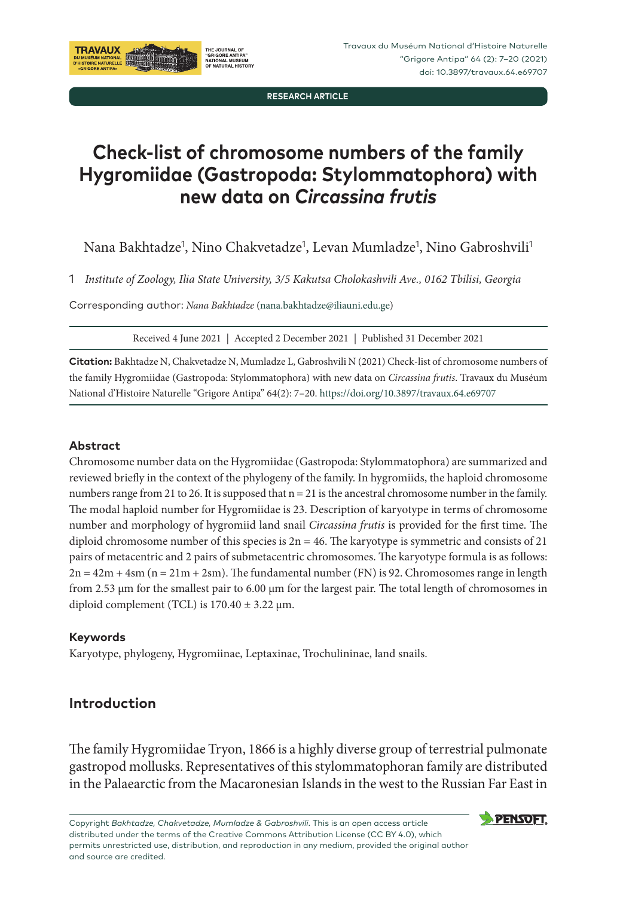**RESEARCH ARTICLE**

# **Check-list of chromosome numbers of the family Hygromiidae (Gastropoda: Stylommatophora) with new data on** *Circassina frutis*

Nana Bakhtadze<sup>1</sup>, Nino Chakvetadze<sup>1</sup>, Levan Mumladze<sup>1</sup>, Nino Gabroshvili<sup>1</sup>

1 *Institute of Zoology, Ilia State University, 3/5 Kakutsa Cholokashvili Ave., 0162 Tbilisi, Georgia*

Corresponding author: *Nana Bakhtadze* [\(nana.bakhtadze@iliauni.edu.ge\)](mailto:nana.bakhtadze@iliauni.edu.ge)

Received 4 June 2021 | Accepted 2 December 2021 | Published 31 December 2021

**Citation:** Bakhtadze N, Chakvetadze N, Mumladze L, Gabroshvili N (2021) Check-list of chromosome numbers of the family Hygromiidae (Gastropoda: Stylommatophora) with new data on *Circassina frutis*. Travaux du Muséum National d'Histoire Naturelle "Grigore Antipa" 64(2): 7–20. <https://doi.org/10.3897/travaux.64.e69707>

### **Abstract**

Chromosome number data on the Hygromiidae (Gastropoda: Stylommatophora) are summarized and reviewed briefly in the context of the phylogeny of the family. In hygromiids, the haploid chromosome numbers range from 21 to 26. It is supposed that n = 21 is the ancestral chromosome number in the family. The modal haploid number for Hygromiidae is 23. Description of karyotype in terms of chromosome number and morphology of hygromiid land snail *Circassina frutis* is provided for the first time. The diploid chromosome number of this species is  $2n = 46$ . The karyotype is symmetric and consists of 21 pairs of metacentric and 2 pairs of submetacentric chromosomes. The karyotype formula is as follows:  $2n = 42m + 4$ sm (n = 21m + 2sm). The fundamental number (FN) is 92. Chromosomes range in length from 2.53 μm for the smallest pair to 6.00 μm for the largest pair. The total length of chromosomes in diploid complement (TCL) is  $170.40 \pm 3.22$  µm.

#### **Keywords**

Karyotype, phylogeny, Hygromiinae, Leptaxinae, Trochulininae, land snails.

# **Introduction**

The family Hygromiidae Tryon, 1866 is a highly diverse group of terrestrial pulmonate gastropod mollusks. Representatives of this stylommatophoran family are distributed in the Palaearctic from the Macaronesian Islands in the west to the Russian Far East in

Copyright *Bakhtadze, Chakvetadze, Mumladze & Gabroshvili*. This is an open access article distributed under the terms of the Creative Commons Attribution License (CC BY 4.0), which permits unrestricted use, distribution, and reproduction in any medium, provided the original author and source are credited.

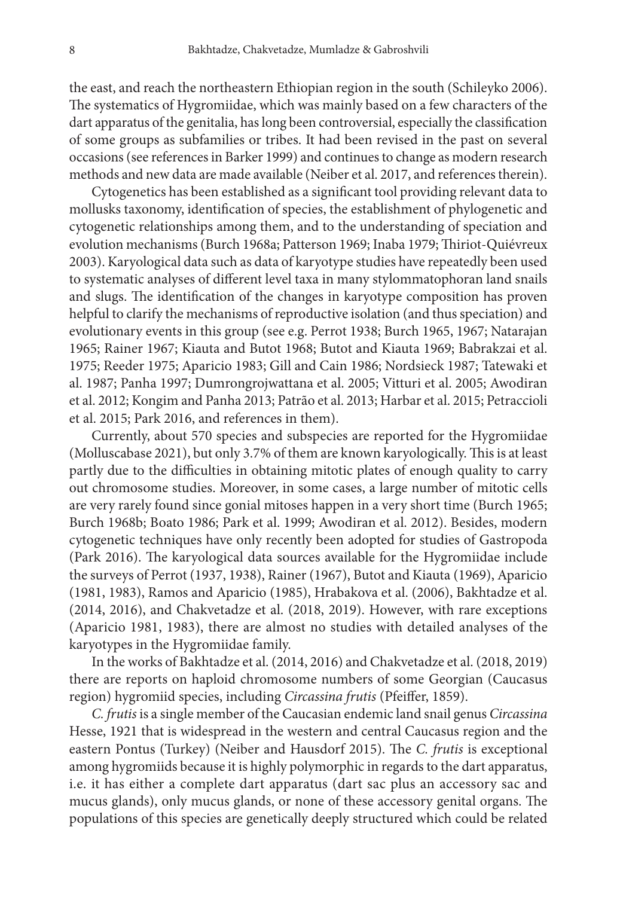the east, and reach the northeastern Ethiopian region in the south (Schileyko 2006). The systematics of Hygromiidae, which was mainly based on a few characters of the dart apparatus of the genitalia, has long been controversial, especially the classification of some groups as subfamilies or tribes. It had been revised in the past on several occasions (see references in Barker 1999) and continues to change as modern research methods and new data are made available (Neiber et al. 2017, and references therein).

Cytogenetics has been established as a significant tool providing relevant data to mollusks taxonomy, identification of species, the establishment of phylogenetic and cytogenetic relationships among them, and to the understanding of speciation and evolution mechanisms (Burch 1968a; Patterson 1969; Inaba 1979; Thiriot-Quiévreux 2003). Karyological data such as data of karyotype studies have repeatedly been used to systematic analyses of different level taxa in many stylommatophoran land snails and slugs. The identification of the changes in karyotype composition has proven helpful to clarify the mechanisms of reproductive isolation (and thus speciation) and evolutionary events in this group (see e.g. Perrot 1938; Burch 1965, 1967; Natarajan 1965; Rainer 1967; Kiauta and Butot 1968; Butot and Kiauta 1969; Babrakzai et al. 1975; Reeder 1975; Aparicio 1983; Gill and Cain 1986; Nordsieck 1987; Tatewaki et al. 1987; Panha 1997; Dumrongrojwattana et al. 2005; Vitturi et al. 2005; Awodiran et al. 2012; Kongim and Panha 2013; Patrão et al. 2013; Harbar et al. 2015; Petraccioli et al. 2015; Park 2016, and references in them).

Currently, about 570 species and subspecies are reported for the Hygromiidae (Molluscabase 2021), but only 3.7% of them are known karyologically. This is at least partly due to the difficulties in obtaining mitotic plates of enough quality to carry out chromosome studies. Moreover, in some cases, a large number of mitotic cells are very rarely found since gonial mitoses happen in a very short time (Burch 1965; Burch 1968b; Boato 1986; Park et al. 1999; Awodiran et al. 2012). Besides, modern cytogenetic techniques have only recently been adopted for studies of Gastropoda (Park 2016). The karyological data sources available for the Hygromiidae include the surveys of Perrot (1937, 1938), Rainer (1967), Butot and Kiauta (1969), Aparicio (1981, 1983), Ramos and Aparicio (1985), Hrabakova et al. (2006), Bakhtadze et al. (2014, 2016), and Chakvetadze et al. (2018, 2019). However, with rare exceptions (Aparicio 1981, 1983), there are almost no studies with detailed analyses of the karyotypes in the Hygromiidae family.

In the works of Bakhtadze et al. (2014, 2016) and Chakvetadze et al. (2018, 2019) there are reports on haploid chromosome numbers of some Georgian (Caucasus region) hygromiid species, including *Circassina frutis* (Pfeiffer, 1859).

*C. frutis* is a single member of the Caucasian endemic land snail genus *Circassina* Hesse, 1921 that is widespread in the western and central Caucasus region and the eastern Pontus (Turkey) (Neiber and Hausdorf 2015). The *C. frutis* is exceptional among hygromiids because it is highly polymorphic in regards to the dart apparatus, i.e. it has either a complete dart apparatus (dart sac plus an accessory sac and mucus glands), only mucus glands, or none of these accessory genital organs. The populations of this species are genetically deeply structured which could be related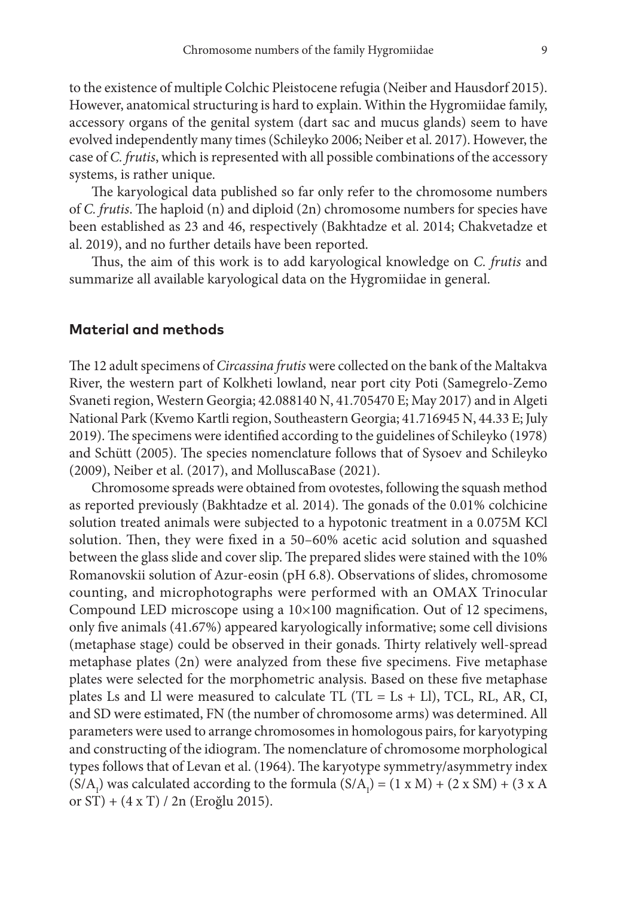to the existence of multiple Colchic Pleistocene refugia (Neiber and Hausdorf 2015). However, anatomical structuring is hard to explain. Within the Hygromiidae family, accessory organs of the genital system (dart sac and mucus glands) seem to have evolved independently many times (Schileyko 2006; Neiber et al. 2017). However, the case of *C. frutis*, which is represented with all possible combinations of the accessory systems, is rather unique.

The karyological data published so far only refer to the chromosome numbers of *C. frutis*. The haploid (n) and diploid (2n) chromosome numbers for species have been established as 23 and 46, respectively (Bakhtadze et al. 2014; Chakvetadze et al. 2019), and no further details have been reported.

Thus, the aim of this work is to add karyological knowledge on *C. frutis* and summarize all available karyological data on the Hygromiidae in general.

### **Material and methods**

The 12 adult specimens of *Circassina frutis* were collected on the bank of the Maltakva River, the western part of Kolkheti lowland, near port city Poti (Samegrelo-Zemo Svaneti region, Western Georgia; 42.088140 N, 41.705470 E; May 2017) and in Algeti National Park (Kvemo Kartli region, Southeastern Georgia; 41.716945 N, 44.33 E; July 2019). The specimens were identified according to the guidelines of Schileyko (1978) and Schütt (2005). The species nomenclature follows that of Sysoev and Schileyko (2009), Neiber et al. (2017), and MolluscaBase (2021).

Chromosome spreads were obtained from ovotestes, following the squash method as reported previously (Bakhtadze et al. 2014). The gonads of the 0.01% colchicine solution treated animals were subjected to a hypotonic treatment in a 0.075M KCl solution. Then, they were fixed in a 50–60% acetic acid solution and squashed between the glass slide and cover slip. The prepared slides were stained with the 10% Romanovskii solution of Azur-eosin (pH 6.8). Observations of slides, chromosome counting, and microphotographs were performed with an OMAX Trinocular Compound LED microscope using a 10×100 magnification. Out of 12 specimens, only five animals (41.67%) appeared karyologically informative; some cell divisions (metaphase stage) could be observed in their gonads. Thirty relatively well-spread metaphase plates (2n) were analyzed from these five specimens. Five metaphase plates were selected for the morphometric analysis. Based on these five metaphase plates Ls and Ll were measured to calculate TL (TL =  $Ls + Ll$ ), TCL, RL, AR, CI, and SD were estimated, FN (the number of chromosome arms) was determined. All parameters were used to arrange chromosomes in homologous pairs, for karyotyping and constructing of the idiogram. The nomenclature of chromosome morphological types follows that of Levan et al. (1964). The karyotype symmetry/asymmetry index  $(S/A<sub>1</sub>)$  was calculated according to the formula  $(S/A<sub>1</sub>) = (1 \times M) + (2 \times SM) + (3 \times A)$ or ST) + (4 x T) / 2n (Eroğlu 2015).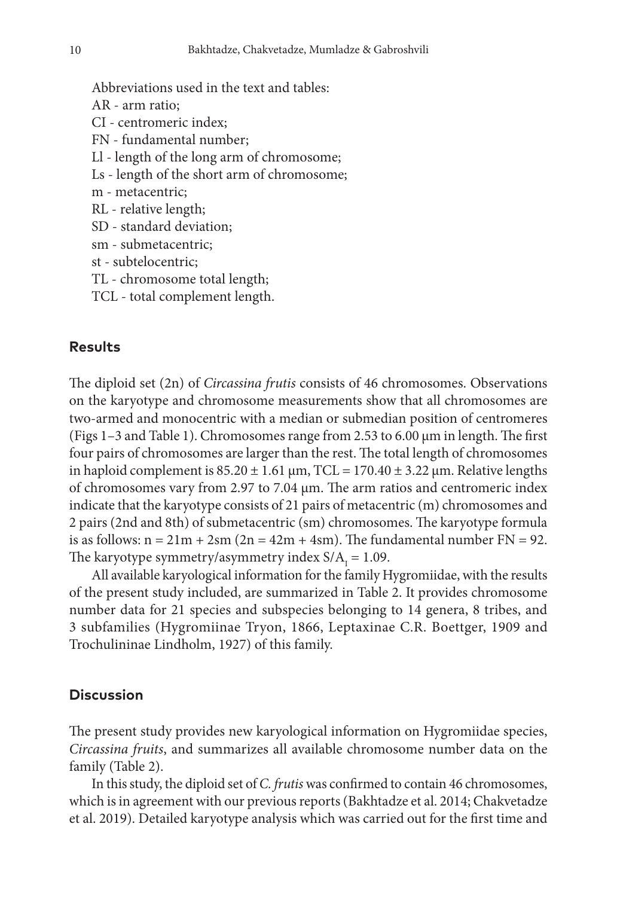- Abbreviations used in the text and tables: AR - arm ratio; CI - centromeric index; FN - fundamental number; Ll - length of the long arm of chromosome; Ls - length of the short arm of chromosome; m - metacentric; RL - relative length; SD - standard deviation; sm - submetacentric; st - subtelocentric;
	- TL chromosome total length;
	- TCL total complement length.

## **Results**

The diploid set (2n) of *Circassina frutis* consists of 46 chromosomes. Observations on the karyotype and chromosome measurements show that all chromosomes are two-armed and monocentric with a median or submedian position of centromeres (Figs 1–3 and Table 1). Chromosomes range from 2.53 to 6.00 μm in length. The first four pairs of chromosomes are larger than the rest. The total length of chromosomes in haploid complement is  $85.20 \pm 1.61 \,\mu m$ , TCL =  $170.40 \pm 3.22 \,\mu m$ . Relative lengths of chromosomes vary from 2.97 to 7.04 μm. The arm ratios and centromeric index indicate that the karyotype consists of 21 pairs of metacentric (m) chromosomes and 2 pairs (2nd and 8th) of submetacentric (sm) chromosomes. The karyotype formula is as follows:  $n = 21m + 2sm(2n = 42m + 4sm)$ . The fundamental number  $FN = 92$ . The karyotype symmetry/asymmetry index  $S/A<sub>I</sub> = 1.09$ .

All available karyological information for the family Hygromiidae, with the results of the present study included, are summarized in Table 2. It provides chromosome number data for 21 species and subspecies belonging to 14 genera, 8 tribes, and 3 subfamilies (Hygromiinae Tryon, 1866, Leptaxinae C.R. Boettger, 1909 and Trochulininae Lindholm, 1927) of this family.

## **Discussion**

The present study provides new karyological information on Hygromiidae species, *Circassina fruits*, and summarizes all available chromosome number data on the family (Table 2).

In this study, the diploid set of *C. frutis* was confirmed to contain 46 chromosomes, which is in agreement with our previous reports (Bakhtadze et al. 2014; Chakvetadze et al. 2019). Detailed karyotype analysis which was carried out for the first time and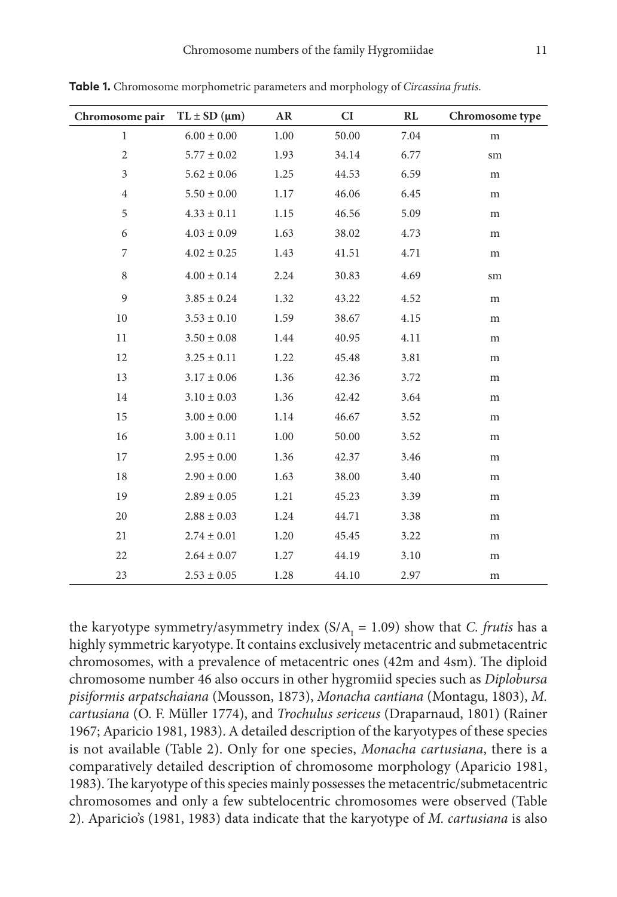| Chromosome pair | $TL \pm SD$ (µm) | AR   | CI    | RL   | Chromosome type |
|-----------------|------------------|------|-------|------|-----------------|
| $\mathbf{1}$    | $6.00 \pm 0.00$  | 1.00 | 50.00 | 7.04 | m               |
| $\overline{c}$  | $5.77 \pm 0.02$  | 1.93 | 34.14 | 6.77 | sm              |
| 3               | $5.62 \pm 0.06$  | 1.25 | 44.53 | 6.59 | m               |
| $\overline{4}$  | $5.50 \pm 0.00$  | 1.17 | 46.06 | 6.45 | m               |
| 5               | $4.33 \pm 0.11$  | 1.15 | 46.56 | 5.09 | m               |
| 6               | $4.03 \pm 0.09$  | 1.63 | 38.02 | 4.73 | m               |
| 7               | $4.02 \pm 0.25$  | 1.43 | 41.51 | 4.71 | m               |
| 8               | $4.00 \pm 0.14$  | 2.24 | 30.83 | 4.69 | sm              |
| 9               | $3.85 \pm 0.24$  | 1.32 | 43.22 | 4.52 | m               |
| 10              | $3.53 \pm 0.10$  | 1.59 | 38.67 | 4.15 | m               |
| 11              | $3.50 \pm 0.08$  | 1.44 | 40.95 | 4.11 | m               |
| 12              | $3.25 \pm 0.11$  | 1.22 | 45.48 | 3.81 | m               |
| 13              | $3.17 \pm 0.06$  | 1.36 | 42.36 | 3.72 | m               |
| 14              | $3.10 \pm 0.03$  | 1.36 | 42.42 | 3.64 | m               |
| 15              | $3.00 \pm 0.00$  | 1.14 | 46.67 | 3.52 | m               |
| 16              | $3.00 \pm 0.11$  | 1.00 | 50.00 | 3.52 | m               |
| 17              | $2.95 \pm 0.00$  | 1.36 | 42.37 | 3.46 | m               |
| 18              | $2.90 \pm 0.00$  | 1.63 | 38.00 | 3.40 | m               |
| 19              | $2.89 \pm 0.05$  | 1.21 | 45.23 | 3.39 | m               |
| 20              | $2.88 \pm 0.03$  | 1.24 | 44.71 | 3.38 | m               |
| 21              | $2.74 \pm 0.01$  | 1.20 | 45.45 | 3.22 | m               |
| 22              | $2.64 \pm 0.07$  | 1.27 | 44.19 | 3.10 | ${\rm m}$       |
| 23              | $2.53 \pm 0.05$  | 1.28 | 44.10 | 2.97 | m               |

**Table 1.** Chromosome morphometric parameters and morphology of *Circassina frutis*.

the karyotype symmetry/asymmetry index  $(S/A<sub>I</sub> = 1.09)$  show that *C. frutis* has a highly symmetric karyotype. It contains exclusively metacentric and submetacentric chromosomes, with a prevalence of metacentric ones (42m and 4sm). The diploid chromosome number 46 also occurs in other hygromiid species such as *Diplobursa pisiformis arpatschaiana* (Mousson, 1873), *Monacha cantiana* (Montagu, 1803), *M. cartusiana* (O. F. Müller 1774), and *Trochulus sericeus* (Draparnaud, 1801) (Rainer 1967; Aparicio 1981, 1983). A detailed description of the karyotypes of these species is not available (Table 2). Only for one species, *Monacha cartusiana*, there is a comparatively detailed description of chromosome morphology (Aparicio 1981, 1983). The karyotype of this species mainly possesses the metacentric/submetacentric chromosomes and only a few subtelocentric chromosomes were observed (Table 2). Aparicio's (1981, 1983) data indicate that the karyotype of *M. cartusiana* is also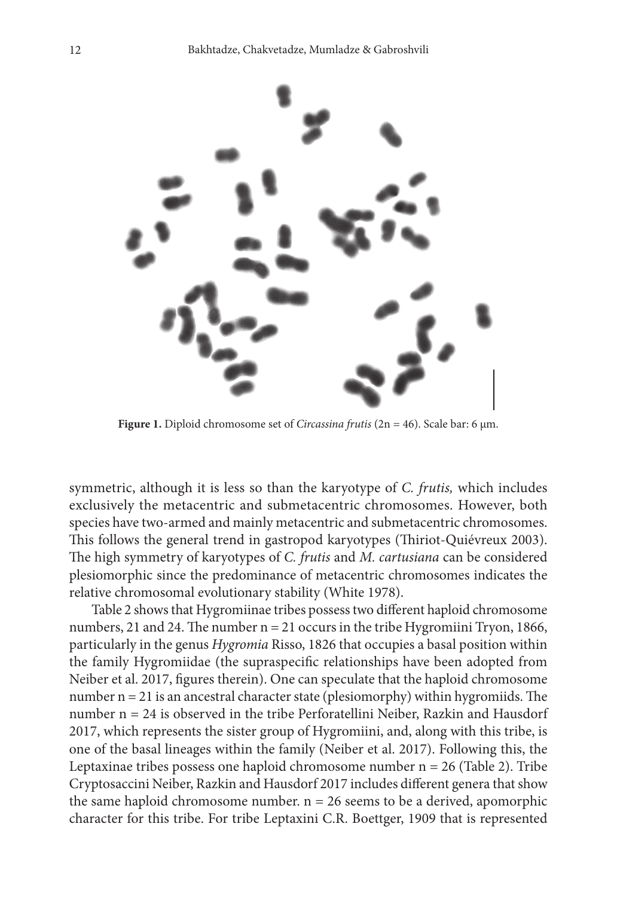

**Figure 1.** Diploid chromosome set of *Circassina frutis* (2n = 46). Scale bar: 6 μm.

symmetric, although it is less so than the karyotype of *C. frutis,* which includes exclusively the metacentric and submetacentric chromosomes. However, both species have two-armed and mainly metacentric and submetacentric chromosomes. This follows the general trend in gastropod karyotypes (Thiriot-Quiévreux 2003). The high symmetry of karyotypes of *C. frutis* and *M. cartusiana* can be considered plesiomorphic since the predominance of metacentric chromosomes indicates the relative chromosomal evolutionary stability (White 1978).

Table 2 shows that Hygromiinae tribes possess two different haploid chromosome numbers, 21 and 24. The number  $n = 21$  occurs in the tribe Hygromiini Tryon, 1866, particularly in the genus *Hygromia* Risso, 1826 that occupies a basal position within the family Hygromiidae (the supraspecific relationships have been adopted from Neiber et al. 2017, figures therein). One can speculate that the haploid chromosome number  $n = 21$  is an ancestral character state (plesiomorphy) within hygromiids. The number n = 24 is observed in the tribe Perforatellini Neiber, Razkin and Hausdorf 2017, which represents the sister group of Hygromiini, and, along with this tribe, is one of the basal lineages within the family (Neiber et al. 2017). Following this, the Leptaxinae tribes possess one haploid chromosome number n = 26 (Table 2). Tribe Cryptosaccini Neiber, Razkin and Hausdorf 2017 includes different genera that show the same haploid chromosome number.  $n = 26$  seems to be a derived, apomorphic character for this tribe. For tribe Leptaxini C.R. Boettger, 1909 that is represented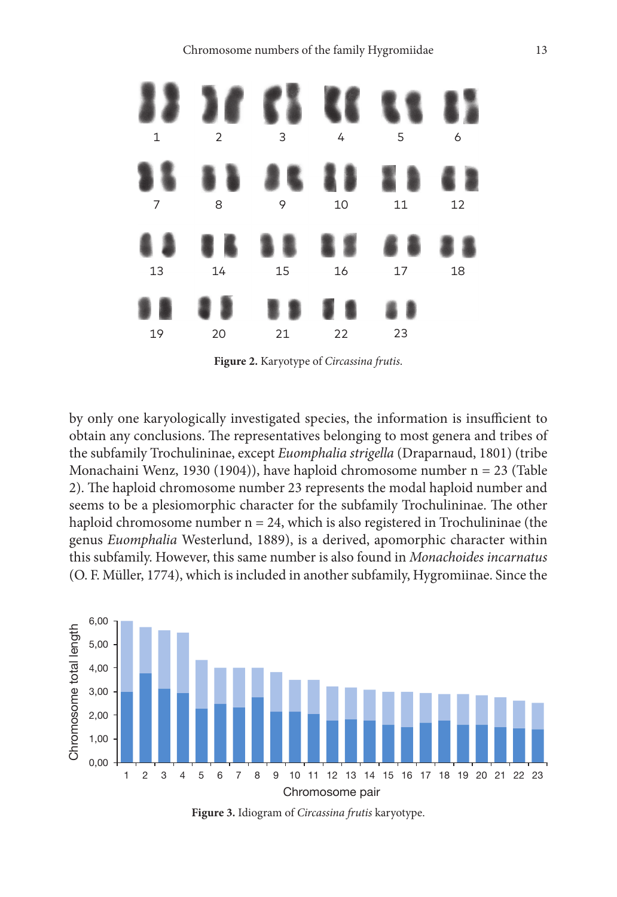

**Figure 2.** Karyotype of *Circassina frutis*.

by only one karyologically investigated species, the information is insufficient to obtain any conclusions. The representatives belonging to most genera and tribes of the subfamily Trochulininae, except *Euomphalia strigella* (Draparnaud, 1801) (tribe Monachaini Wenz, 1930 (1904)), have haploid chromosome number n = 23 (Table 2). The haploid chromosome number 23 represents the modal haploid number and seems to be a plesiomorphic character for the subfamily Trochulininae. The other haploid chromosome number  $n = 24$ , which is also registered in Trochulininae (the genus *Euomphalia* Westerlund, 1889), is a derived, apomorphic character within this subfamily. However, this same number is also found in *Monachoides incarnatus*  (O. F. Müller, 1774), which is included in another subfamily, Hygromiinae. Since the



**Figure 3.** Idiogram of *Circassina frutis* karyotype.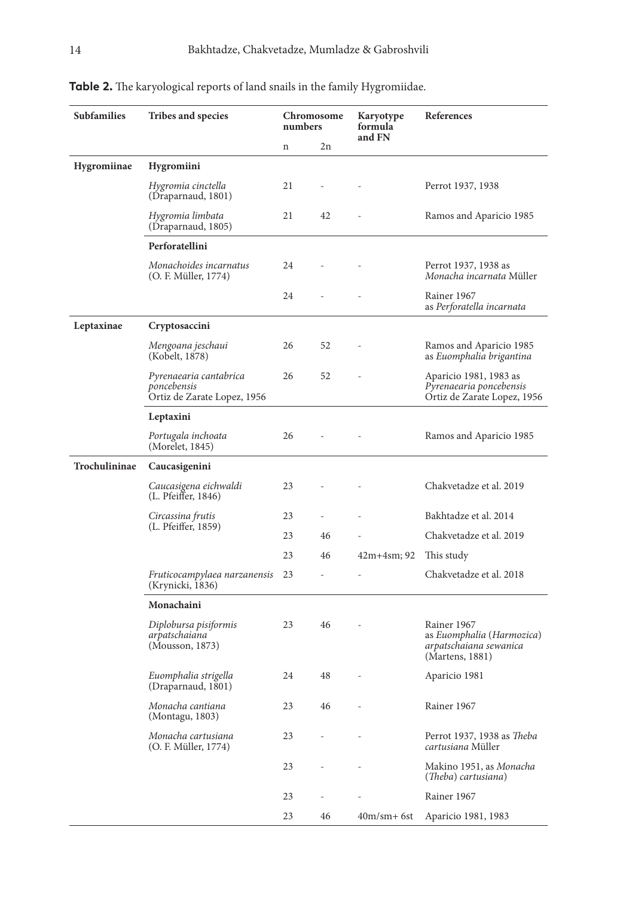| <b>Subfamilies</b> | Tribes and species                                                   | Chromosome<br>numbers |                          | Karyotype<br>formula<br>and FN | References                                                                            |
|--------------------|----------------------------------------------------------------------|-----------------------|--------------------------|--------------------------------|---------------------------------------------------------------------------------------|
|                    |                                                                      | n                     | 2n                       |                                |                                                                                       |
| <b>Hygromiinae</b> | <b>Hygromiini</b>                                                    |                       |                          |                                |                                                                                       |
|                    | Hygromia cinctella<br>(Draparnaud, 1801)                             | 21                    |                          |                                | Perrot 1937, 1938                                                                     |
|                    | Hygromia limbata<br>(Draparnaud, 1805)                               | 21                    | 42                       | $\overline{a}$                 | Ramos and Aparicio 1985                                                               |
|                    | Perforatellini                                                       |                       |                          |                                |                                                                                       |
|                    | Monachoides incarnatus<br>(O. F. Müller, 1774)                       | 24                    |                          |                                | Perrot 1937, 1938 as<br><i>Monacha incarnata Müller</i>                               |
|                    |                                                                      | 24                    |                          |                                | Rainer 1967<br>as Perforatella incarnata                                              |
| Leptaxinae         | Cryptosaccini                                                        |                       |                          |                                |                                                                                       |
|                    | Mengoana jeschaui<br>(Kobelt, 1878)                                  | 26                    | 52                       |                                | Ramos and Aparicio 1985<br>as Euomphalia brigantina                                   |
|                    | Pyrenaearia cantabrica<br>poncebensis<br>Ortiz de Zarate Lopez, 1956 | 26                    | 52                       |                                | Aparicio 1981, 1983 as<br>Pyrenaearia poncebensis<br>Ortiz de Zarate Lopez, 1956      |
|                    | Leptaxini                                                            |                       |                          |                                |                                                                                       |
|                    | Portugala inchoata<br>(Morelet, 1845)                                | 26                    |                          |                                | Ramos and Aparicio 1985                                                               |
| Trochulininae      | Caucasigenini                                                        |                       |                          |                                |                                                                                       |
|                    | Caucasigena eichwaldi<br>(L. Pfeiffer, 1846)                         | 23                    |                          |                                | Chakvetadze et al. 2019                                                               |
|                    | Circassina frutis                                                    | 23                    |                          |                                | Bakhtadze et al. 2014                                                                 |
|                    | (L. Pfeiffer, 1859)                                                  | 23                    | 46                       |                                | Chakvetadze et al. 2019                                                               |
|                    |                                                                      | 23                    | 46                       | 42m+4sm; 92                    | This study                                                                            |
|                    | Fruticocampylaea narzanensis<br>(Krynicki, 1836)                     | 23                    |                          |                                | Chakvetadze et al. 2018                                                               |
|                    | Monachaini                                                           |                       |                          |                                |                                                                                       |
|                    | Diplobursa pisiformis<br>arpatschaiana<br>(Mousson, 1873)            | 23                    | 46                       |                                | Rainer 1967<br>as Euomphalia (Harmozica)<br>arpatschaiana sewanica<br>(Martens, 1881) |
|                    | Euomphalia strigella<br>(Draparnaud, 1801)                           | 24                    | 48                       |                                | Aparicio 1981                                                                         |
|                    | Monacha cantiana<br>(Montagu, 1803)                                  | 23                    | 46                       | $\overline{\phantom{a}}$       | Rainer 1967                                                                           |
|                    | Monacha cartusiana<br>(O. F. Müller, 1774)                           | 23                    | $\overline{a}$           | $\overline{\phantom{m}}$       | Perrot 1937, 1938 as Theba<br>cartusiana Müller                                       |
|                    |                                                                      | 23                    |                          |                                | Makino 1951, as Monacha<br>(Theba) cartusiana)                                        |
|                    |                                                                      | 23                    | $\overline{\phantom{a}}$ | L,                             | Rainer 1967                                                                           |
|                    |                                                                      | 23                    | 46                       | $40m/sm + 6st$                 | Aparicio 1981, 1983                                                                   |

# **Table 2.** The karyological reports of land snails in the family Hygromiidae.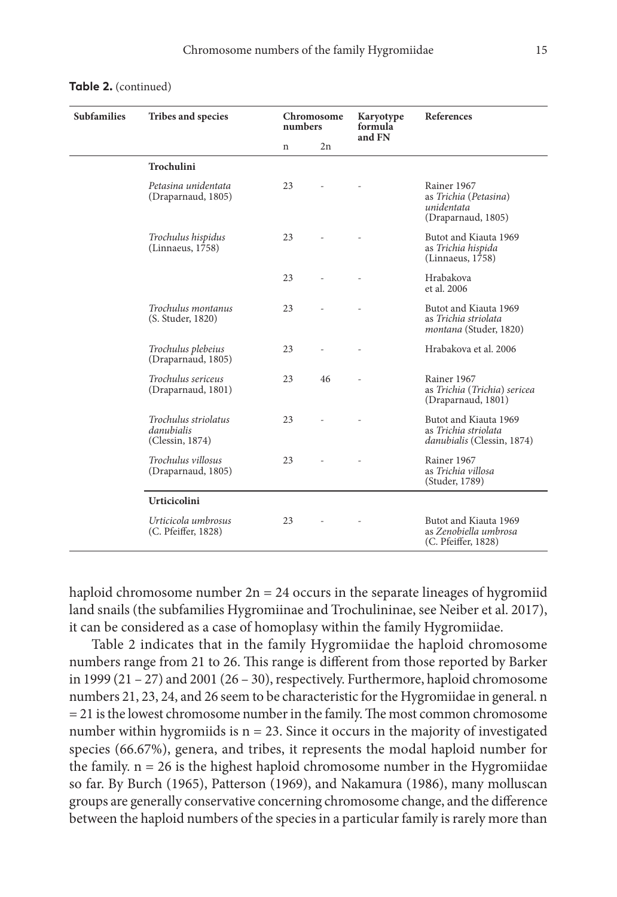| <b>Subfamilies</b> | <b>Tribes and species</b><br>Chromosome<br>numbers    |    |    | Karyotype<br>formula | <b>References</b>                                                              |
|--------------------|-------------------------------------------------------|----|----|----------------------|--------------------------------------------------------------------------------|
|                    |                                                       | n  | 2n | and FN               |                                                                                |
|                    | <b>Trochulini</b>                                     |    |    |                      |                                                                                |
|                    | Petasina unidentata<br>(Draparnaud, 1805)             | 23 |    |                      | Rainer 1967<br>as Trichia (Petasina)<br>unidentata<br>(Draparnaud, 1805)       |
|                    | Trochulus hispidus<br>(Linnaeus, 1758)                | 23 |    |                      | Butot and Kiauta 1969<br>as Trichia hispida<br>(Linnaeus, 1758)                |
|                    |                                                       | 23 |    |                      | Hrabakova<br>et al. 2006                                                       |
|                    | Trochulus montanus<br>(S. Studer, 1820)               | 23 |    |                      | Butot and Kiauta 1969<br>as Trichia striolata<br><i>montana</i> (Studer, 1820) |
|                    | Trochulus plebeius<br>(Draparnaud, 1805)              | 23 |    |                      | Hrabakova et al. 2006                                                          |
|                    | Trochulus sericeus<br>(Draparnaud, 1801)              | 23 | 46 |                      | Rainer 1967<br>as Trichia (Trichia) sericea<br>(Draparnaud, 1801)              |
|                    | Trochulus striolatus<br>danubialis<br>(Clessin, 1874) | 23 |    |                      | Butot and Kiauta 1969<br>as Trichia striolata<br>danubialis (Clessin, 1874)    |
|                    | Trochulus villosus<br>(Draparnaud, 1805)              | 23 |    |                      | Rainer 1967<br>as Trichia villosa<br>(Studer, 1789)                            |
|                    | <b>Urticicolini</b>                                   |    |    |                      |                                                                                |
|                    | Urticicola umbrosus<br>(C. Pfeiffer, 1828)            | 23 |    |                      | Butot and Kiauta 1969<br>as Zenobiella umbrosa<br>(C. Pfeiffer, 1828)          |

#### **Table 2.** (continued)

haploid chromosome number  $2n = 24$  occurs in the separate lineages of hygromiid land snails (the subfamilies Hygromiinae and Trochulininae, see Neiber et al. 2017), it can be considered as a case of homoplasy within the family Hygromiidae.

Table 2 indicates that in the family Hygromiidae the haploid chromosome numbers range from 21 to 26. This range is different from those reported by Barker in 1999 (21 – 27) and 2001 (26 – 30), respectively. Furthermore, haploid chromosome numbers 21, 23, 24, and 26 seem to be characteristic for the Hygromiidae in general. n = 21 is the lowest chromosome number in the family. The most common chromosome number within hygromiids is  $n = 23$ . Since it occurs in the majority of investigated species (66.67%), genera, and tribes, it represents the modal haploid number for the family.  $n = 26$  is the highest haploid chromosome number in the Hygromiidae so far. By Burch (1965), Patterson (1969), and Nakamura (1986), many molluscan groups are generally conservative concerning chromosome change, and the difference between the haploid numbers of the species in a particular family is rarely more than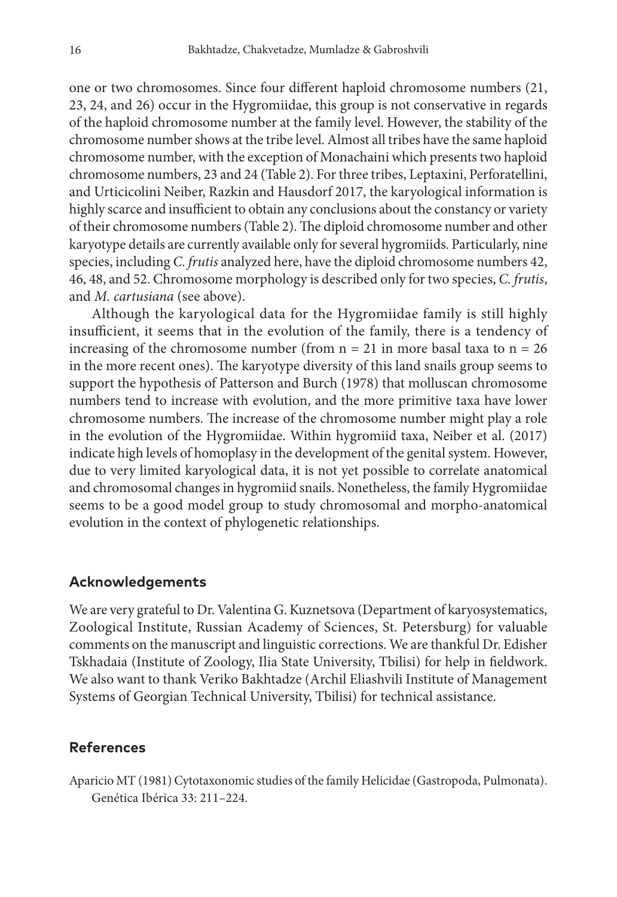one or two chromosomes. Since four different haploid chromosome numbers (21, 23, 24, and 26) occur in the Hygromiidae, this group is not conservative in regards of the haploid chromosome number at the family level. However, the stability of the chromosome number shows at the tribe level. Almost all tribes have the same haploid chromosome number, with the exception of Monachaini which presents two haploid chromosome numbers, 23 and 24 (Table 2). For three tribes, Leptaxini, Perforatellini, and Urticicolini Neiber, Razkin and Hausdorf 2017, the karyological information is highly scarce and insufficient to obtain any conclusions about the constancy or variety of their chromosome numbers (Table 2). The diploid chromosome number and other karyotype details are currently available only for several hygromiids. Particularly, nine species, including *C. frutis* analyzed here, have the diploid chromosome numbers 42, 46, 48, and 52. Chromosome morphology is described only for two species, *C. frutis*, and *M. cartusiana* (see above).

Although the karyological data for the Hygromiidae family is still highly insufficient, it seems that in the evolution of the family, there is a tendency of increasing of the chromosome number (from  $n = 21$  in more basal taxa to  $n = 26$ in the more recent ones). The karyotype diversity of this land snails group seems to support the hypothesis of Patterson and Burch (1978) that molluscan chromosome numbers tend to increase with evolution, and the more primitive taxa have lower chromosome numbers. The increase of the chromosome number might play a role in the evolution of the Hygromiidae. Within hygromiid taxa, Neiber et al. (2017) indicate high levels of homoplasy in the development of the genital system. However, due to very limited karyological data, it is not yet possible to correlate anatomical and chromosomal changes in hygromiid snails. Nonetheless, the family Hygromiidae seems to be a good model group to study chromosomal and morpho-anatomical evolution in the context of phylogenetic relationships.

#### **Acknowledgements**

We are very grateful to Dr. Valentina G. Kuznetsova (Department of karyosystematics, Zoological Institute, Russian Academy of Sciences, St. Petersburg) for valuable comments on the manuscript and linguistic corrections. We are thankful Dr. Edisher Tskhadaia (Institute of Zoology, Ilia State University, Tbilisi) for help in fieldwork. We also want to thank Veriko Bakhtadze (Archil Eliashvili Institute of Management Systems of Georgian Technical University, Tbilisi) for technical assistance.

## **References**

Aparicio MT (1981) Cytotaxonomic studies of the family Helicidae (Gastropoda, Pulmonata). Genética Ibérica 33: 211–224.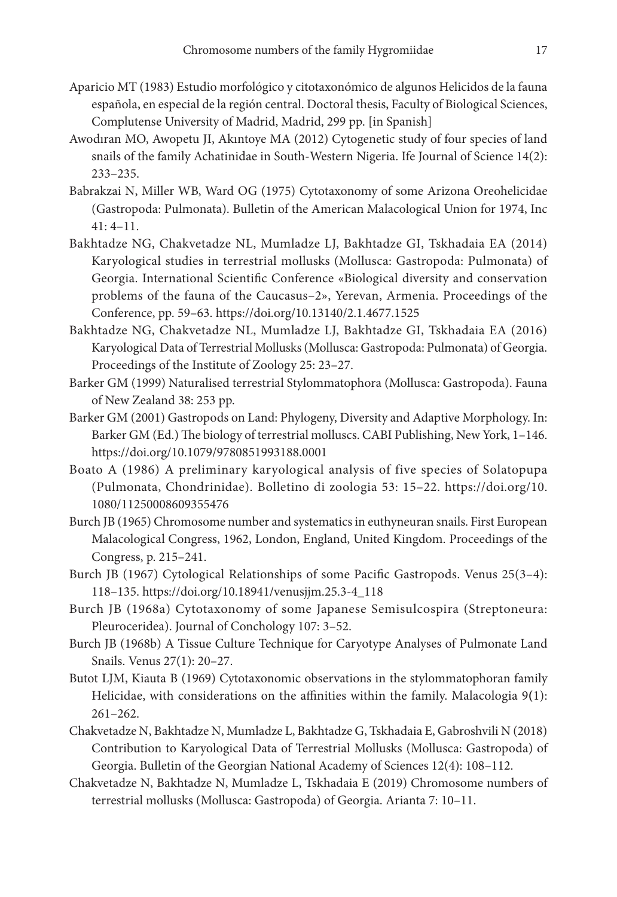- Aparicio MT (1983) Estudio morfológico y citotaxonómico de algunos Helicidos de la fauna española, en especial de la región central. Doctoral thesis, Faculty of Biological Sciences, Complutense University of Madrid, Madrid, 299 pp. [in Spanish]
- Awodıran MO, Awopetu JI, Akıntoye MA (2012) Cytogenetic study of four species of land snails of the family Achatinidae in South-Western Nigeria. Ife Journal of Science 14(2): 233–235.
- Babrakzai N, Miller WB, Ward OG (1975) Cytotaxonomy of some Arizona Oreohelicidae (Gastropoda: Pulmonata). Bulletin of the American Malacological Union for 1974, Inc 41: 4–11.
- Bakhtadze NG, Chakvetadze NL, Mumladze LJ, Bakhtadze GI, Tskhadaia EA (2014) Karyological studies in terrestrial mollusks (Mollusca: Gastropoda: Pulmonata) of Georgia. International Scientific Conference «Biological diversity and conservation problems of the fauna of the Caucasus–2», Yerevan, Armenia. Proceedings of the Conference, pp. 59–63. <https://doi.org/10.13140/2.1.4677.1525>
- Bakhtadze NG, Chakvetadze NL, Mumladze LJ, Bakhtadze GI, Tskhadaia EA (2016) Karyological Data of Terrestrial Mollusks (Mollusca: Gastropoda: Pulmonata) of Georgia. Proceedings of the Institute of Zoology 25: 23–27.
- Barker GM (1999) Naturalised terrestrial Stylommatophora (Mollusca: Gastropoda). Fauna of New Zealand 38: 253 pp.
- Barker GM (2001) Gastropods on Land: Phylogeny, Diversity and Adaptive Morphology. In: Barker GM (Ed.) The biology of terrestrial molluscs. CABI Publishing, New York, 1–146. <https://doi.org/10.1079/9780851993188.0001>
- Boato A (1986) A preliminary karyological analysis of five species of Solatopupa (Pulmonata, Chondrinidae). Bolletino di zoologia 53: 15–22. [https://doi.org/10.](https://doi.org/10.1080/11250008609355476) [1080/11250008609355476](https://doi.org/10.1080/11250008609355476)
- Burch JB (1965) Chromosome number and systematics in euthyneuran snails. First European Malacological Congress, 1962, London, England, United Kingdom. Proceedings of the Congress, p. 215–241.
- Burch JB (1967) Cytological Relationships of some Pacific Gastropods. Venus 25(3–4): 118–135. [https://doi.org/10.18941/venusjjm.25.3-4\\_118](https://doi.org/10.18941/venusjjm.25.3-4_118)
- Burch JB (1968a) Cytotaxonomy of some Japanese Semisulcospira (Streptoneura: Pleuroceridea). Journal of Conchology 107: 3–52.
- Burch JB (1968b) A Tissue Culture Technique for Caryotype Analyses of Pulmonate Land Snails. Venus 27(1): 20–27.
- Butot LJM, Kiauta B (1969) Cytotaxonomic observations in the stylommatophoran family Helicidae, with considerations on the affinities within the family. Malacologia 9**(**1): 261–262.
- Chakvetadze N, Bakhtadze N, Mumladze L, Bakhtadze G, Tskhadaia E, Gabroshvili N (2018) Contribution to Karyological Data of Terrestrial Mollusks (Mollusca: Gastropoda) of Georgia. Bulletin of the Georgian National Academy of Sciences 12(4): 108–112.
- Chakvetadze N, Bakhtadze N, Mumladze L, Tskhadaia E (2019) Chromosome numbers of terrestrial mollusks (Mollusca: Gastropoda) of Georgia. Arianta 7: 10–11.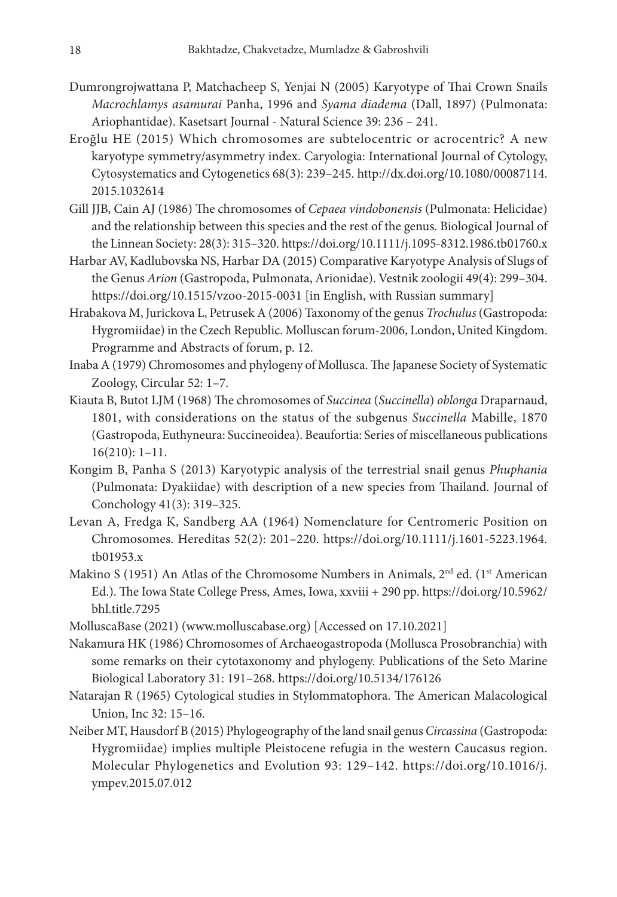- Dumrongrojwattana P, Matchacheep S, Yenjai N (2005) Karyotype of Thai Crown Snails *Macrochlamys asamurai* Panha, 1996 and *Syama diadema* (Dall, 1897) (Pulmonata: Ariophantidae). Kasetsart Journal - Natural Science 39: 236 – 241.
- Eroğlu HE (2015) Which chromosomes are subtelocentric or acrocentric? A new karyotype symmetry/asymmetry index. Caryologia: International Journal of Cytology, Cytosystematics and Cytogenetics 68(3): 239–245. [http://dx.doi.org/10.1080/00087114.](http://dx.doi.org/10.1080/00087114.2015.1032614) [2015.1032614](http://dx.doi.org/10.1080/00087114.2015.1032614)
- Gill JJB, Cain AJ (1986) The chromosomes of *Cepaea vindobonensis* (Pulmonata: Helicidae) and the relationship between this species and the rest of the genus. Biological Journal of the Linnean Society: 28(3): 315–320.<https://doi.org/10.1111/j.1095-8312.1986.tb01760.x>
- Harbar AV, Kadlubovska NS, Harbar DA (2015) Comparative Karyotype Analysis of Slugs of the Genus *Arion* (Gastropoda, Pulmonata, Arionidae). Vestnik zoologii 49(4): 299–304. <https://doi.org/10.1515/vzoo-2015-0031> [in English, with Russian summary]
- Hrabakova M, Jurickova L, Petrusek A (2006) Taxonomy of the genus *Trochulus* (Gastropoda: Hygromiidae) in the Czech Republic. Molluscan forum-2006, London, United Kingdom. Programme and Abstracts of forum, p. 12.
- Inaba A (1979) Chromosomes and phylogeny of Mollusca. The Japanese Society of Systematic Zoology, Circular 52: 1–7.
- Kiauta B, Butot LJM (1968) The chromosomes of *Succinea* (*Succinella*) *oblonga* Draparnaud, 1801, with considerations on the status of the subgenus *Succinella* Mabille, 1870 (Gastropoda, Euthyneura: Succineoidea). Beaufortia: Series of miscellaneous publications 16(210): 1–11.
- Kongim B, Panha S (2013) Karyotypic analysis of the terrestrial snail genus *Phuphania* (Pulmonata: Dyakiidae) with description of a new species from Thailand. Journal of Conchology 41(3): 319–325.
- Levan A, Fredga K, Sandberg AA (1964) Nomenclature for Centromeric Position on Chromosomes. Hereditas 52(2): 201–220. [https://doi.org/10.1111/j.1601-5223.1964.](https://doi.org/10.1111/j.1601-5223.1964.tb01953.x) [tb01953.x](https://doi.org/10.1111/j.1601-5223.1964.tb01953.x)
- Makino S (1951) An Atlas of the Chromosome Numbers in Animals,  $2<sup>nd</sup>$  ed. (1<sup>st</sup> American Ed.). The Iowa State College Press, Ames, Iowa, xxviii + 290 pp. [https://doi.org/10.5962/](https://doi.org/10.5962/bhl.title.7295) [bhl.title.7295](https://doi.org/10.5962/bhl.title.7295)
- MolluscaBase (2021) [\(www.molluscabase.org](http://www.molluscabase.org)) [Accessed on 17.10.2021]
- Nakamura HK (1986) Chromosomes of Archaeogastropoda (Mollusca Prosobranchia) with some remarks on their cytotaxonomy and phylogeny. Publications of the Seto Marine Biological Laboratory 31: 191–268. <https://doi.org/10.5134/176126>
- Natarajan R (1965) Cytological studies in Stylommatophora. The American Malacological Union, Inc 32: 15–16.
- Neiber MT, Hausdorf B (2015) Phylogeography of the land snail genus *Circassina* (Gastropoda: Hygromiidae) implies multiple Pleistocene refugia in the western Caucasus region. Molecular Phylogenetics and Evolution 93: 129–142. [https://doi.org/10.1016/j.](https://doi.org/10.1016/j.ympev.2015.07.012) [ympev.2015.07.012](https://doi.org/10.1016/j.ympev.2015.07.012)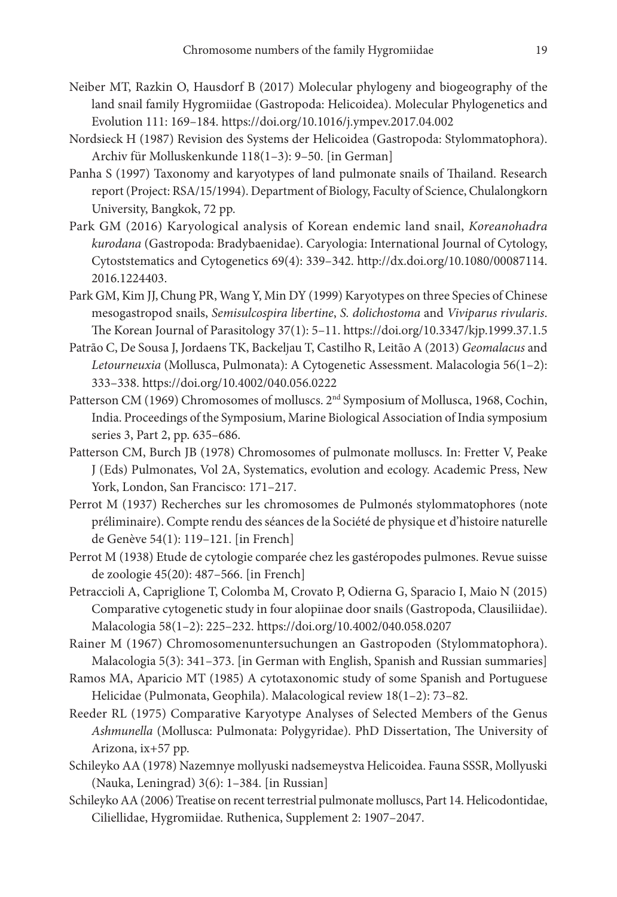- Neiber MT, Razkin O, Hausdorf B (2017) Molecular phylogeny and biogeography of the land snail family Hygromiidae (Gastropoda: Helicoidea). Molecular Phylogenetics and Evolution 111: 169–184.<https://doi.org/10.1016/j.ympev.2017.04.002>
- Nordsieck H (1987) Revision des Systems der Helicoidea (Gastropoda: Stylommatophora). Archiv für Molluskenkunde 118(1–3): 9–50. [in German]
- Panha S (1997) Taxonomy and karyotypes of land pulmonate snails of Thailand. Research report (Project: RSA/15/1994). Department of Biology, Faculty of Science, Chulalongkorn University, Bangkok, 72 pp.
- Park GM (2016) Karyological analysis of Korean endemic land snail, *Koreanohadra kurodana* (Gastropoda: Bradybaenidae). Caryologia: International Journal of Cytology, Cytoststematics and Cytogenetics 69(4): 339–342. [http://dx.doi.org/10.1080/00087114.](http://dx.doi.org/10.1080/00087114.2016.1224403) [2016.1224403.](http://dx.doi.org/10.1080/00087114.2016.1224403)
- Park GM, Kim JJ, Chung PR, Wang Y, Min DY (1999) Karyotypes on three Species of Chinese mesogastropod snails, *Semisulcospira libertine*, *S. dolichostoma* and *Viviparus rivularis*. The Korean Journal of Parasitology 37(1): 5–11. <https://doi.org/10.3347/kjp.1999.37.1.5>
- Patrão C, De Sousa J, Jordaens TK, Backeljau T, Castilho R, Leitão A (2013) *Geomalacus* and *Letourneuxia* (Mollusca, Pulmonata): A Cytogenetic Assessment. Malacologia 56(1–2): 333–338. <https://doi.org/10.4002/040.056.0222>
- Patterson CM (1969) Chromosomes of molluscs. 2nd Symposium of Mollusca, 1968, Cochin, India. Proceedings of the Symposium, Marine Biological Association of India symposium series 3, Part 2, pp. 635–686.
- Patterson CM, Burch JB (1978) Chromosomes of pulmonate molluscs. In: Fretter V, Peake J (Eds) Pulmonates, Vol 2A, Systematics, evolution and ecology. Academic Press, New York, London, San Francisco: 171–217.
- Perrot M (1937) Recherches sur les chromosomes de Pulmonés stylommatophores (note préliminaire). Compte rendu des séances de la Société de physique et d'histoire naturelle de Genève 54(1): 119–121. [in French]
- Perrot M (1938) Etude de cytologie comparée chez les gastéropodes pulmones. Revue suisse de zoologie 45(20): 487–566. [in French]
- Petraccioli A, Capriglione T, Colomba M, Crovato P, Odierna G, Sparacio I, Maio N (2015) Comparative cytogenetic study in four alopiinae door snails (Gastropoda, Clausiliidae). Malacologia 58(1–2): 225–232. <https://doi.org/10.4002/040.058.0207>
- Rainer M (1967) Chromosomenuntersuchungen an Gastropoden (Stylommatophora). Malacologia 5(3): 341–373. [in German with English, Spanish and Russian summaries]
- Ramos MA, Aparicio MT (1985) A cytotaxonomic study of some Spanish and Portuguese Helicidae (Pulmonata, Geophila). Malacological review 18(1–2): 73–82.
- Reeder RL (1975) Comparative Karyotype Analyses of Selected Members of the Genus *Ashmunella* (Mollusca: Pulmonata: Polygyridae). PhD Dissertation, The University of Arizona, ix+57 pp.
- Schileyko AA (1978) Nazemnye mollyuski nadsemeystva Helicoidea. Fauna SSSR, Mollyuski (Nauka, Leningrad) 3(6): 1–384. [in Russian]
- Schileyko AA (2006) Treatise on recent terrestrial pulmonate molluscs, Part 14. Helicodontidae, Ciliellidae, Hygromiidae. Ruthenica, Supplement 2: 1907–2047.